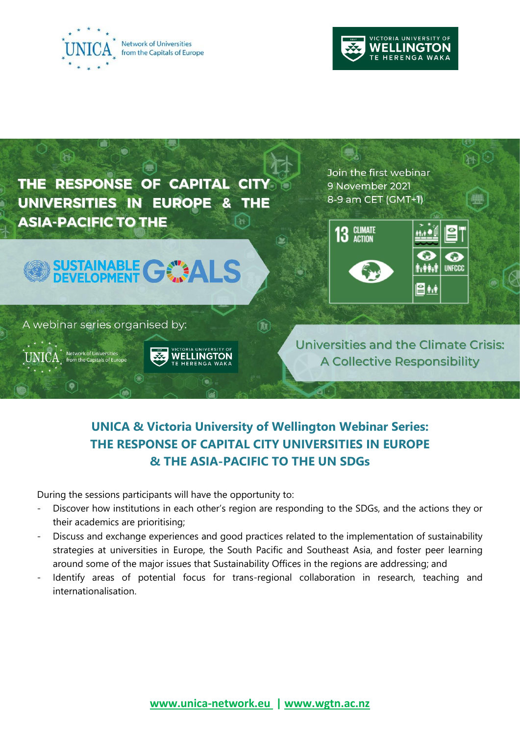





# **UNICA & Victoria University of Wellington Webinar Series: THE RESPONSE OF CAPITAL CITY UNIVERSITIES IN EUROPE & THE ASIA-PACIFIC TO THE UN SDGs**

During the sessions participants will have the opportunity to:

- Discover how institutions in each other's region are responding to the SDGs, and the actions they or their academics are prioritising;
- Discuss and exchange experiences and good practices related to the implementation of sustainability strategies at universities in Europe, the South Pacific and Southeast Asia, and foster peer learning around some of the major issues that Sustainability Offices in the regions are addressing; and
- Identify areas of potential focus for trans-regional collaboration in research, teaching and internationalisation.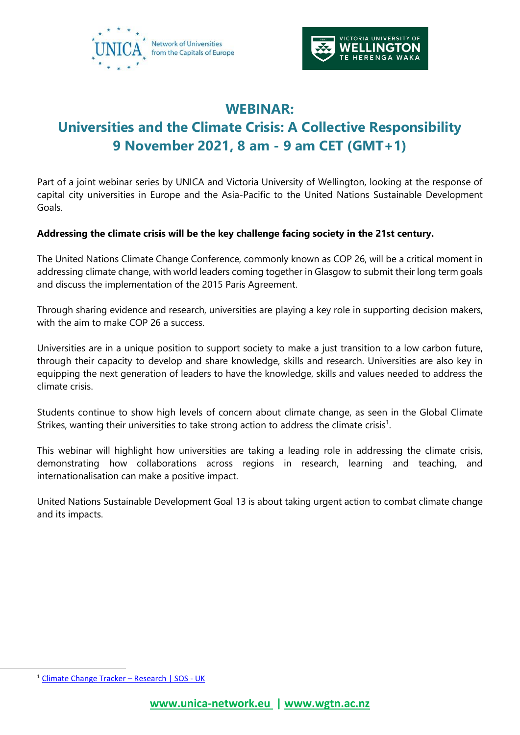



# **WEBINAR: Universities and the Climate Crisis: A Collective Responsibility 9 November 2021, 8 am - 9 am CET (GMT+1)**

Part of a joint webinar series by UNICA and Victoria University of Wellington, looking at the response of capital city universities in Europe and the Asia-Pacific to the United Nations Sustainable Development Goals.

### **Addressing the climate crisis will be the key challenge facing society in the 21st century.**

The United Nations Climate Change Conference, commonly known as COP 26, will be a critical moment in addressing climate change, with world leaders coming together in Glasgow to submit their long term goals and discuss the implementation of the 2015 Paris Agreement.

Through sharing evidence and research, universities are playing a key role in supporting decision makers, with the aim to make COP 26 a success.

Universities are in a unique position to support society to make a just transition to a low carbon future, through their capacity to develop and share knowledge, skills and research. Universities are also key in equipping the next generation of leaders to have the knowledge, skills and values needed to address the climate crisis.

Students continue to show high levels of concern about climate change, as seen in the Global Climate Strikes, wanting their universities to take strong action to address the climate crisis<sup>1</sup>.

This webinar will highlight how universities are taking a leading role in addressing the climate crisis, demonstrating how collaborations across regions in research, learning and teaching, and internationalisation can make a positive impact.

United Nations Sustainable Development Goal 13 is about taking urgent action to combat climate change and its impacts.

<sup>1</sup> [Climate Change Tracker](https://www.sos-uk.org/research/climate-change-tracker) – Research | SOS - UK